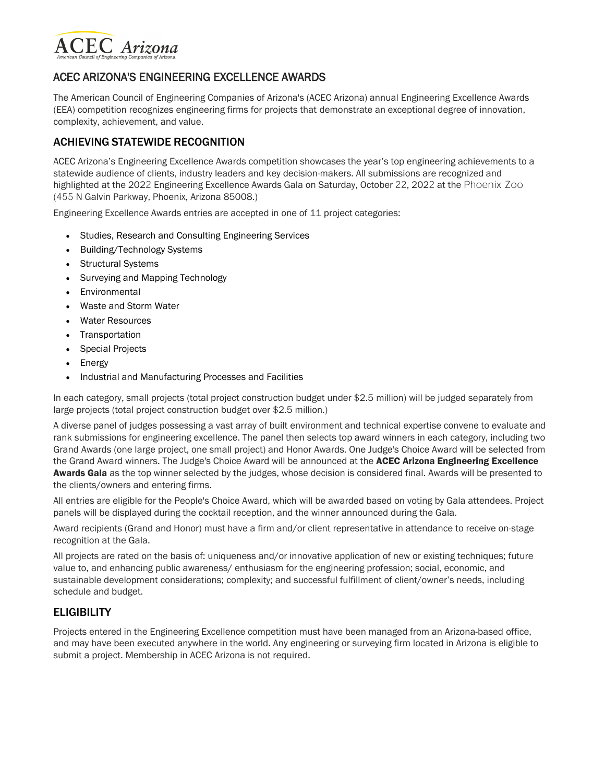

## ACEC ARIZONA'S ENGINEERING EXCELLENCE AWARDS

The American Council of Engineering Companies of Arizona's (ACEC Arizona) annual Engineering Excellence Awards (EEA) competition recognizes engineering firms for projects that demonstrate an exceptional degree of innovation, complexity, achievement, and value.

## ACHIEVING STATEWIDE RECOGNITION

ACEC Arizona's Engineering Excellence Awards competition showcases the year's top engineering achievements to a statewide audience of clients, industry leaders and key decision-makers. All submissions are recognized and highlighted at the 2022 Engineering Excellence Awards Gala on Saturday, October 22, 2022 at the Phoenix Zoo (455 N Galvin Parkway, Phoenix, Arizona 85008.)

Engineering Excellence Awards entries are accepted in one of 11 project categories:

- Studies, Research and Consulting Engineering Services
- Building/Technology Systems
- Structural Systems
- Surveying and Mapping Technology
- Environmental
- Waste and Storm Water
- Water Resources
- Transportation
- Special Projects
- Energy
- Industrial and Manufacturing Processes and Facilities

In each category, small projects (total project construction budget under \$2.5 million) will be judged separately from large projects (total project construction budget over \$2.5 million.)

A diverse panel of judges possessing a vast array of built environment and technical expertise convene to evaluate and rank submissions for engineering excellence. The panel then selects top award winners in each category, including two Grand Awards (one large project, one small project) and Honor Awards. One Judge's Choice Award will be selected from the Grand Award winners. The Judge's Choice Award will be announced at the ACEC Arizona Engineering Excellence Awards Gala as the top winner selected by the judges, whose decision is considered final. Awards will be presented to the clients/owners and entering firms.

All entries are eligible for the People's Choice Award, which will be awarded based on voting by Gala attendees. Project panels will be displayed during the cocktail reception, and the winner announced during the Gala.

Award recipients (Grand and Honor) must have a firm and/or client representative in attendance to receive on-stage recognition at the Gala.

All projects are rated on the basis of: uniqueness and/or innovative application of new or existing techniques; future value to, and enhancing public awareness/ enthusiasm for the engineering profession; social, economic, and sustainable development considerations; complexity; and successful fulfillment of client/owner's needs, including schedule and budget.

## **ELIGIBILITY**

Projects entered in the Engineering Excellence competition must have been managed from an Arizona-based office, and may have been executed anywhere in the world. Any engineering or surveying firm located in Arizona is eligible to submit a project. Membership in ACEC Arizona is not required.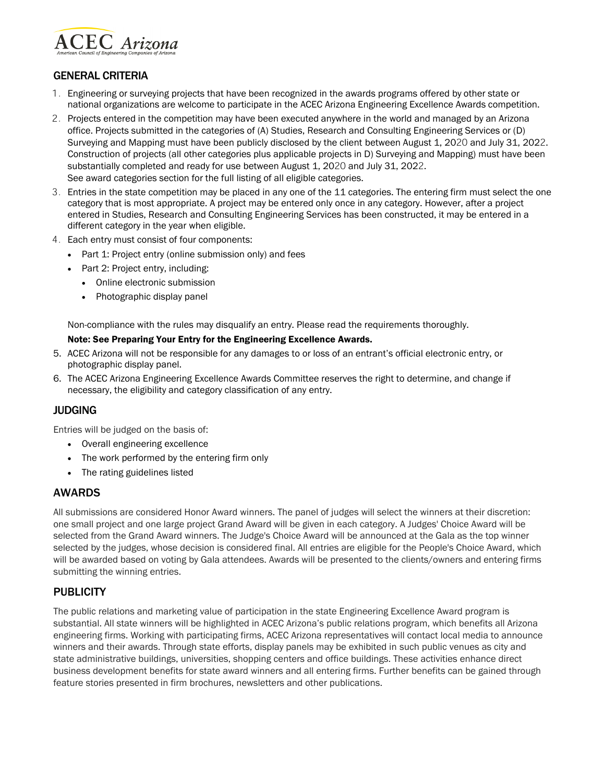

## GENERAL CRITERIA

- 1. Engineering or surveying projects that have been recognized in the awards programs offered by other state or national organizations are welcome to participate in the ACEC Arizona Engineering Excellence Awards competition.
- 2. Projects entered in the competition may have been executed anywhere in the world and managed by an Arizona office. Projects submitted in the categories of (A) Studies, Research and Consulting Engineering Services or (D) Surveying and Mapping must have been publicly disclosed by the client between August 1, 2020 and July 31, 2022. Construction of projects (all other categories plus applicable projects in D) Surveying and Mapping) must have been substantially completed and ready for use between August 1, 2020 and July 31, 2022. See award categories section for the full listing of all eligible categories.
- 3. Entries in the state competition may be placed in any one of the 11 categories. The entering firm must select the one category that is most appropriate. A project may be entered only once in any category. However, after a project entered in Studies, Research and Consulting Engineering Services has been constructed, it may be entered in a different category in the year when eligible.
- 4. Each entry must consist of four components:
	- Part 1: Project entry (online submission only) and fees
	- Part 2: Project entry, including:
		- Online electronic submission
		- Photographic display panel

Non-compliance with the rules may disqualify an entry. Please read the requirements thoroughly.

#### Note: See Preparing Your Entry for the Engineering Excellence Awards.

- 5. ACEC Arizona will not be responsible for any damages to or loss of an entrant's official electronic entry, or photographic display panel.
- 6. The ACEC Arizona Engineering Excellence Awards Committee reserves the right to determine, and change if necessary, the eligibility and category classification of any entry.

### JUDGING

Entries will be judged on the basis of:

- Overall engineering excellence
- The work performed by the entering firm only
- The rating guidelines listed

### AWARDS

All submissions are considered Honor Award winners. The panel of judges will select the winners at their discretion: one small project and one large project Grand Award will be given in each category. A Judges' Choice Award will be selected from the Grand Award winners. The Judge's Choice Award will be announced at the Gala as the top winner selected by the judges, whose decision is considered final. All entries are eligible for the People's Choice Award, which will be awarded based on voting by Gala attendees. Awards will be presented to the clients/owners and entering firms submitting the winning entries.

## **PUBLICITY**

The public relations and marketing value of participation in the state Engineering Excellence Award program is substantial. All state winners will be highlighted in ACEC Arizona's public relations program, which benefits all Arizona engineering firms. Working with participating firms, ACEC Arizona representatives will contact local media to announce winners and their awards. Through state efforts, display panels may be exhibited in such public venues as city and state administrative buildings, universities, shopping centers and office buildings. These activities enhance direct business development benefits for state award winners and all entering firms. Further benefits can be gained through feature stories presented in firm brochures, newsletters and other publications.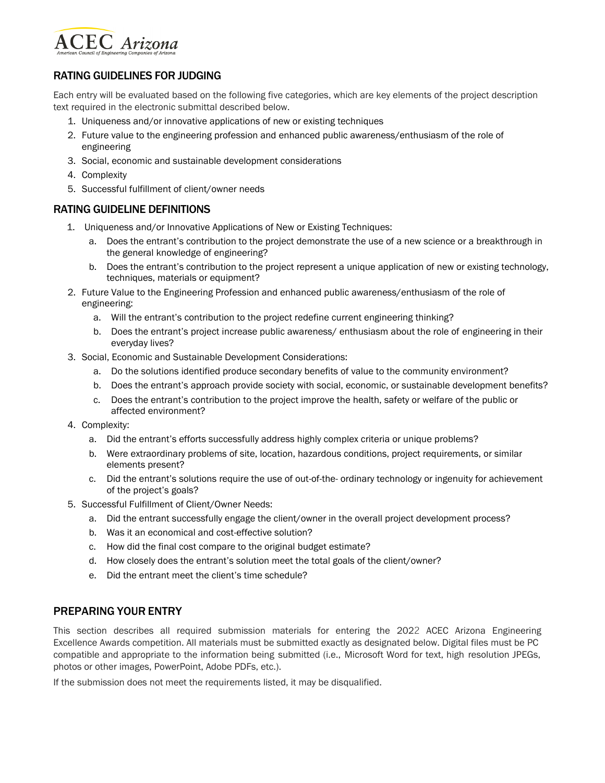

## RATING GUIDELINES FOR JUDGING

Each entry will be evaluated based on the following five categories, which are key elements of the project description text required in the electronic submittal described below.

- 1. Uniqueness and/or innovative applications of new or existing techniques
- 2. Future value to the engineering profession and enhanced public awareness/enthusiasm of the role of engineering
- 3. Social, economic and sustainable development considerations
- 4. Complexity
- 5. Successful fulfillment of client/owner needs

## RATING GUIDELINE DEFINITIONS

- 1. Uniqueness and/or Innovative Applications of New or Existing Techniques:
	- a. Does the entrant's contribution to the project demonstrate the use of a new science or a breakthrough in the general knowledge of engineering?
	- b. Does the entrant's contribution to the project represent a unique application of new or existing technology, techniques, materials or equipment?
- 2. Future Value to the Engineering Profession and enhanced public awareness/enthusiasm of the role of engineering:
	- a. Will the entrant's contribution to the project redefine current engineering thinking?
	- b. Does the entrant's project increase public awareness/ enthusiasm about the role of engineering in their everyday lives?
- 3. Social, Economic and Sustainable Development Considerations:
	- a. Do the solutions identified produce secondary benefits of value to the community environment?
	- b. Does the entrant's approach provide society with social, economic, or sustainable development benefits?
	- c. Does the entrant's contribution to the project improve the health, safety or welfare of the public or affected environment?
- 4. Complexity:
	- a. Did the entrant's efforts successfully address highly complex criteria or unique problems?
	- b. Were extraordinary problems of site, location, hazardous conditions, project requirements, or similar elements present?
	- c. Did the entrant's solutions require the use of out-of-the- ordinary technology or ingenuity for achievement of the project's goals?
- 5. Successful Fulfillment of Client/Owner Needs:
	- a. Did the entrant successfully engage the client/owner in the overall project development process?
	- b. Was it an economical and cost-effective solution?
	- c. How did the final cost compare to the original budget estimate?
	- d. How closely does the entrant's solution meet the total goals of the client/owner?
	- e. Did the entrant meet the client's time schedule?

## PREPARING YOUR ENTRY

This section describes all required submission materials for entering the 2022 ACEC Arizona Engineering Excellence Awards competition. All materials must be submitted exactly as designated below. Digital files must be PC compatible and appropriate to the information being submitted (i.e., Microsoft Word for text, high resolution JPEGs, photos or other images, PowerPoint, Adobe PDFs, etc.).

If the submission does not meet the requirements listed, it may be disqualified.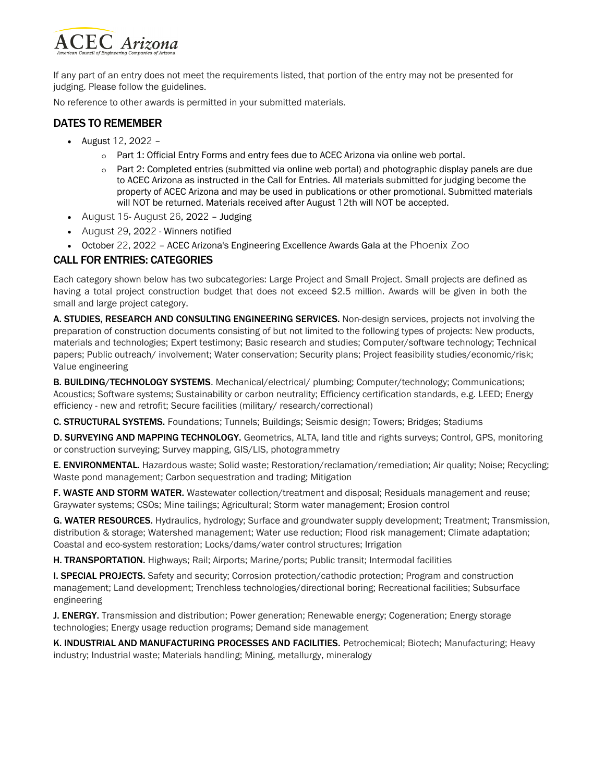

If any part of an entry does not meet the requirements listed, that portion of the entry may not be presented for judging. Please follow the guidelines.

No reference to other awards is permitted in your submitted materials.

## DATES TO REMEMBER

- August 12, 2022
	- o Part 1: Official Entry Forms and entry fees due to ACEC Arizona via online web portal.
	- o Part 2: Completed entries (submitted via online web portal) and photographic display panels are due to ACEC Arizona as instructed in the Call for Entries. All materials submitted for judging become the property of ACEC Arizona and may be used in publications or other promotional. Submitted materials will NOT be returned. Materials received after August 12th will NOT be accepted.
- August 15- August 26, 2022 Judging
- August 29, 2022 Winners notified
- October 22, 2022 ACEC Arizona's Engineering Excellence Awards Gala at the Phoenix Zoo

## CALL FOR ENTRIES: CATEGORIES

Each category shown below has two subcategories: Large Project and Small Project. Small projects are defined as having a total project construction budget that does not exceed \$2.5 million. Awards will be given in both the small and large project category.

A. STUDIES, RESEARCH AND CONSULTING ENGINEERING SERVICES. Non-design services, projects not involving the preparation of construction documents consisting of but not limited to the following types of projects: New products, materials and technologies; Expert testimony; Basic research and studies; Computer/software technology; Technical papers; Public outreach/ involvement; Water conservation; Security plans; Project feasibility studies/economic/risk; Value engineering

B. BUILDING/TECHNOLOGY SYSTEMS. Mechanical/electrical/ plumbing; Computer/technology; Communications; Acoustics; Software systems; Sustainability or carbon neutrality; Efficiency certification standards, e.g. LEED; Energy efficiency - new and retrofit; Secure facilities (military/ research/correctional)

C. STRUCTURAL SYSTEMS. Foundations; Tunnels; Buildings; Seismic design; Towers; Bridges; Stadiums

D. SURVEYING AND MAPPING TECHNOLOGY. Geometrics, ALTA, land title and rights surveys; Control, GPS, monitoring or construction surveying; Survey mapping, GIS/LIS, photogrammetry

E. ENVIRONMENTAL. Hazardous waste; Solid waste; Restoration/reclamation/remediation; Air quality; Noise; Recycling; Waste pond management; Carbon sequestration and trading; Mitigation

F. WASTE AND STORM WATER. Wastewater collection/treatment and disposal; Residuals management and reuse; Graywater systems; CSOs; Mine tailings; Agricultural; Storm water management; Erosion control

G. WATER RESOURCES. Hydraulics, hydrology; Surface and groundwater supply development; Treatment; Transmission, distribution & storage; Watershed management; Water use reduction; Flood risk management; Climate adaptation; Coastal and eco-system restoration; Locks/dams/water control structures; Irrigation

H. TRANSPORTATION. Highways; Rail; Airports; Marine/ports; Public transit; Intermodal facilities

**I. SPECIAL PROJECTS.** Safety and security; Corrosion protection/cathodic protection; Program and construction management; Land development; Trenchless technologies/directional boring; Recreational facilities; Subsurface engineering

J. ENERGY. Transmission and distribution; Power generation; Renewable energy; Cogeneration; Energy storage technologies; Energy usage reduction programs; Demand side management

K. INDUSTRIAL AND MANUFACTURING PROCESSES AND FACILITIES. Petrochemical; Biotech; Manufacturing; Heavy industry; Industrial waste; Materials handling; Mining, metallurgy, mineralogy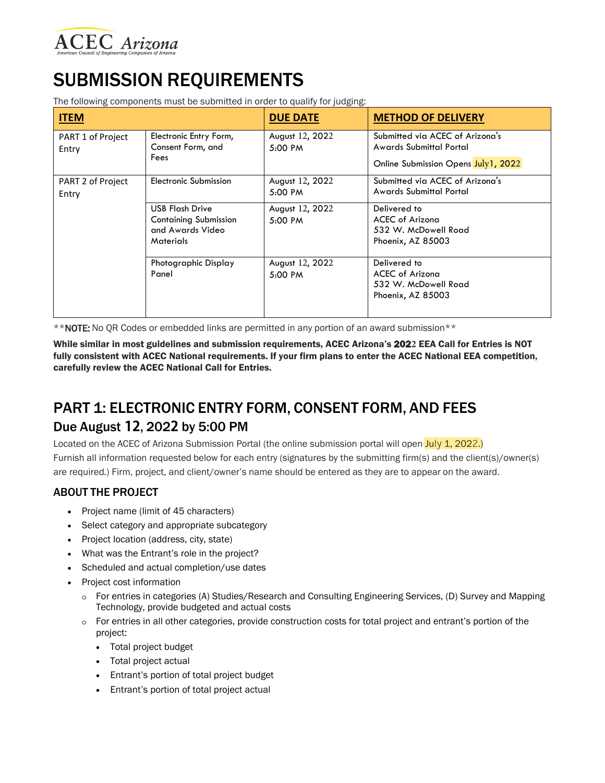

# SUBMISSION REQUIREMENTS

The following components must be submitted in order to qualify for judging:

| <b>ITEM</b>                |                                                                                                | <b>DUE DATE</b>                      | <b>METHOD OF DELIVERY</b>                                                                         |
|----------------------------|------------------------------------------------------------------------------------------------|--------------------------------------|---------------------------------------------------------------------------------------------------|
| PART 1 of Project<br>Entry | Electronic Entry Form,<br>Consent Form, and<br>Fees                                            | August 12, 2022<br>$5:00 \text{ PM}$ | Submitted via ACEC of Arizona's<br>Awards Submittal Portal<br>Online Submission Opens July1, 2022 |
| PART 2 of Project<br>Entry | Electronic Submission                                                                          | August 12, 2022<br>5:00 PM           | Submitted via ACEC of Arizona's<br>Awards Submittal Portal                                        |
|                            | <b>USB Flash Drive</b><br><b>Containing Submission</b><br>and Awards Video<br><b>Materials</b> | August 12, 2022<br>5:00 PM           | Delivered to<br>ACEC of Arizona<br>532 W. McDowell Road<br>Phoenix, AZ 85003                      |
|                            | Photographic Display<br>Panel                                                                  | August 12, 2022<br>5:00 PM           | Delivered to<br>ACEC of Arizona<br>532 W. McDowell Road<br>Phoenix, AZ 85003                      |

\*\*NOTE: No QR Codes or embedded links are permitted in any portion of an award submission\*\*

While similar in most guidelines and submission requirements, ACEC Arizona's 202**2** EEA Call for Entries is NOT fully consistent with ACEC National requirements. If your firm plans to enter the ACEC National EEA competition, carefully review the ACEC National Call for Entries.

## PART 1: ELECTRONIC ENTRY FORM, CONSENT FORM, AND FEES Due August **12**, 202**2** by 5:00 PM

Located on the ACEC of Arizona Submission Portal (the online submission portal will open July 1, 2022.) Furnish all information requested below for each entry (signatures by the submitting firm(s) and the client(s)/owner(s) are required.) Firm, project, and client/owner's name should be entered as they are to appear on the award.

## ABOUT THE PROJECT

- Project name (limit of 45 characters)
- Select category and appropriate subcategory
- Project location (address, city, state)
- What was the Entrant's role in the project?
- Scheduled and actual completion/use dates
- Project cost information
	- o For entries in categories (A) Studies/Research and Consulting Engineering Services, (D) Survey and Mapping Technology, provide budgeted and actual costs
	- o For entries in all other categories, provide construction costs for total project and entrant's portion of the project:
		- Total project budget
		- Total project actual
		- Entrant's portion of total project budget
		- Entrant's portion of total project actual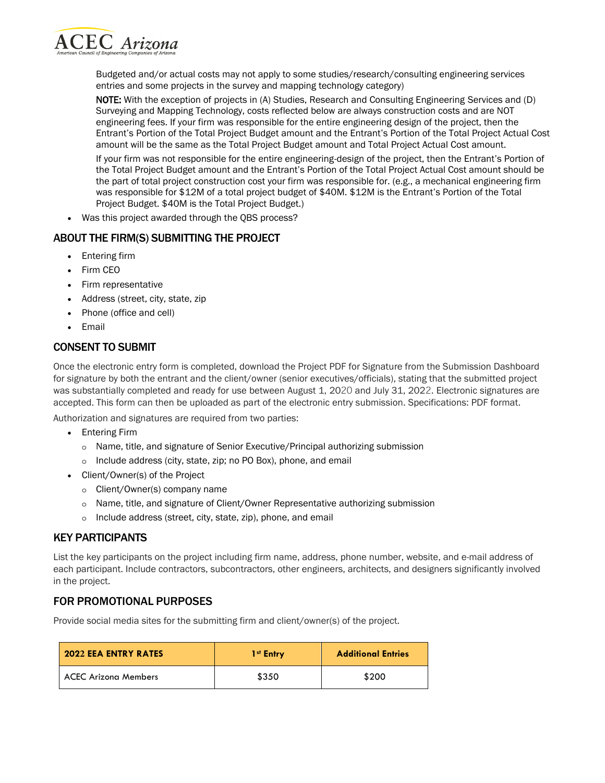

Budgeted and/or actual costs may not apply to some studies/research/consulting engineering services entries and some projects in the survey and mapping technology category)

NOTE: With the exception of projects in (A) Studies, Research and Consulting Engineering Services and (D) Surveying and Mapping Technology, costs reflected below are always construction costs and are NOT engineering fees. If your firm was responsible for the entire engineering design of the project, then the Entrant's Portion of the Total Project Budget amount and the Entrant's Portion of the Total Project Actual Cost amount will be the same as the Total Project Budget amount and Total Project Actual Cost amount.

If your firm was not responsible for the entire engineering-design of the project, then the Entrant's Portion of the Total Project Budget amount and the Entrant's Portion of the Total Project Actual Cost amount should be the part of total project construction cost your firm was responsible for. (e.g., a mechanical engineering firm was responsible for \$12M of a total project budget of \$40M. \$12M is the Entrant's Portion of the Total Project Budget. \$40M is the Total Project Budget.)

• Was this project awarded through the QBS process?

## ABOUT THE FIRM(S) SUBMITTING THE PROJECT

- Entering firm
- Firm CEO
- Firm representative
- Address (street, city, state, zip
- Phone (office and cell)
- Email

## CONSENT TO SUBMIT

Once the electronic entry form is completed, download the Project PDF for Signature from the Submission Dashboard for signature by both the entrant and the client/owner (senior executives/officials), stating that the submitted project was substantially completed and ready for use between August 1, 2020 and July 31, 2022. Electronic signatures are accepted. This form can then be uploaded as part of the electronic entry submission. Specifications: PDF format.

Authorization and signatures are required from two parties:

- Entering Firm
	- o Name, title, and signature of Senior Executive/Principal authorizing submission
	- o Include address (city, state, zip; no PO Box), phone, and email
- Client/Owner(s) of the Project
	- o Client/Owner(s) company name
	- o Name, title, and signature of Client/Owner Representative authorizing submission
	- o Include address (street, city, state, zip), phone, and email

## KEY PARTICIPANTS

List the key participants on the project including firm name, address, phone number, website, and e-mail address of each participant. Include contractors, subcontractors, other engineers, architects, and designers significantly involved in the project.

## FOR PROMOTIONAL PURPOSES

Provide social media sites for the submitting firm and client/owner(s) of the project.

| <b>2022 EEA ENTRY RATES</b> | 1 <sup>st</sup> Entry | <b>Additional Entries</b> |
|-----------------------------|-----------------------|---------------------------|
| <b>ACEC Arizona Members</b> | \$350                 | \$200                     |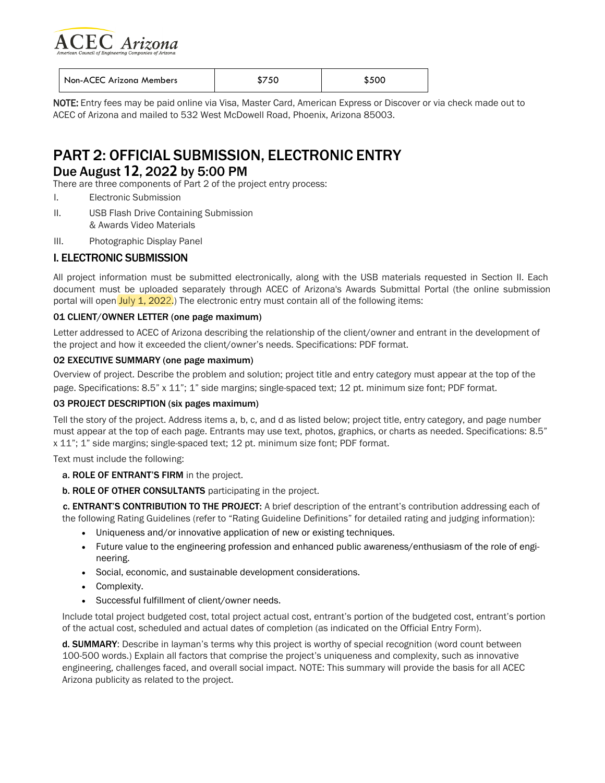

| Non-ACEC Arizona Members | \$750 | \$500 |
|--------------------------|-------|-------|
|                          |       |       |

NOTE: Entry fees may be paid online via Visa, Master Card, American Express or Discover or via check made out to ACEC of Arizona and mailed to 532 West McDowell Road, Phoenix, Arizona 85003.

## PART 2: OFFICIAL SUBMISSION, ELECTRONIC ENTRY

## Due August **12**, 202**2** by 5:00 PM

There are three components of Part 2 of the project entry process:

- I. Electronic Submission
- II. USB Flash Drive Containing Submission & Awards Video Materials
- III. Photographic Display Panel

### I. ELECTRONIC SUBMISSION

All project information must be submitted electronically, along with the USB materials requested in Section II. Each document must be uploaded separately through ACEC of Arizona's Awards Submittal Portal (the online submission portal will open July 1, 2022.) The electronic entry must contain all of the following items:

### 01 CLIENT/OWNER LETTER (one page maximum)

Letter addressed to ACEC of Arizona describing the relationship of the client/owner and entrant in the development of the project and how it exceeded the client/owner's needs. Specifications: PDF format.

### 02 EXECUTIVE SUMMARY (one page maximum)

Overview of project. Describe the problem and solution; project title and entry category must appear at the top of the page. Specifications: 8.5" x 11"; 1" side margins; single-spaced text; 12 pt. minimum size font; PDF format.

### 03 PROJECT DESCRIPTION (six pages maximum)

Tell the story of the project. Address items a, b, c, and d as listed below; project title, entry category, and page number must appear at the top of each page. Entrants may use text, photos, graphics, or charts as needed. Specifications: 8.5" x 11"; 1" side margins; single-spaced text; 12 pt. minimum size font; PDF format.

Text must include the following:

- a. ROLE OF ENTRANT'S FIRM in the project.
- b. ROLE OF OTHER CONSULTANTS participating in the project.

c. ENTRANT'S CONTRIBUTION TO THE PROJECT: A brief description of the entrant's contribution addressing each of the following Rating Guidelines (refer to "Rating Guideline Definitions" for detailed rating and judging information):

- Uniqueness and/or innovative application of new or existing techniques.
- Future value to the engineering profession and enhanced public awareness/enthusiasm of the role of engineering.
- Social, economic, and sustainable development considerations.
- Complexity.
- Successful fulfillment of client/owner needs.

Include total project budgeted cost, total project actual cost, entrant's portion of the budgeted cost, entrant's portion of the actual cost, scheduled and actual dates of completion (as indicated on the Official Entry Form).

d. SUMMARY: Describe in layman's terms why this project is worthy of special recognition (word count between 100-500 words.) Explain all factors that comprise the project's uniqueness and complexity, such as innovative engineering, challenges faced, and overall social impact. NOTE: This summary will provide the basis for all ACEC Arizona publicity as related to the project.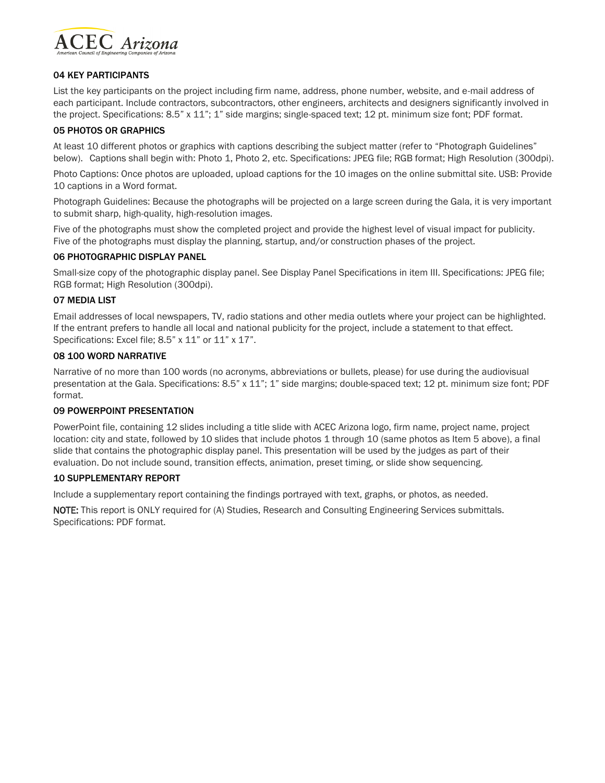

### 04 KEY PARTICIPANTS

List the key participants on the project including firm name, address, phone number, website, and e-mail address of each participant. Include contractors, subcontractors, other engineers, architects and designers significantly involved in the project. Specifications: 8.5" x 11"; 1" side margins; single-spaced text; 12 pt. minimum size font; PDF format.

### 05 PHOTOS OR GRAPHICS

At least 10 different photos or graphics with captions describing the subject matter (refer to "Photograph Guidelines" below). Captions shall begin with: Photo 1, Photo 2, etc. Specifications: JPEG file; RGB format; High Resolution (300dpi).

Photo Captions: Once photos are uploaded, upload captions for the 10 images on the online submittal site. USB: Provide 10 captions in a Word format.

Photograph Guidelines: Because the photographs will be projected on a large screen during the Gala, it is very important to submit sharp, high-quality, high-resolution images.

Five of the photographs must show the completed project and provide the highest level of visual impact for publicity. Five of the photographs must display the planning, startup, and/or construction phases of the project.

### 06 PHOTOGRAPHIC DISPLAY PANEL

Small-size copy of the photographic display panel. See Display Panel Specifications in item III. Specifications: JPEG file; RGB format; High Resolution (300dpi).

### 07 MEDIA LIST

Email addresses of local newspapers, TV, radio stations and other media outlets where your project can be highlighted. If the entrant prefers to handle all local and national publicity for the project, include a statement to that effect. Specifications: Excel file; 8.5" x 11" or 11" x 17".

### 08 100 WORD NARRATIVE

Narrative of no more than 100 words (no acronyms, abbreviations or bullets, please) for use during the audiovisual presentation at the Gala. Specifications: 8.5" x 11"; 1" side margins; double-spaced text; 12 pt. minimum size font; PDF format.

#### 09 POWERPOINT PRESENTATION

PowerPoint file, containing 12 slides including a title slide with ACEC Arizona logo, firm name, project name, project location: city and state, followed by 10 slides that include photos 1 through 10 (same photos as Item 5 above), a final slide that contains the photographic display panel. This presentation will be used by the judges as part of their evaluation. Do not include sound, transition effects, animation, preset timing, or slide show sequencing.

### 10 SUPPLEMENTARY REPORT

Include a supplementary report containing the findings portrayed with text, graphs, or photos, as needed.

NOTE: This report is ONLY required for (A) Studies, Research and Consulting Engineering Services submittals. Specifications: PDF format.